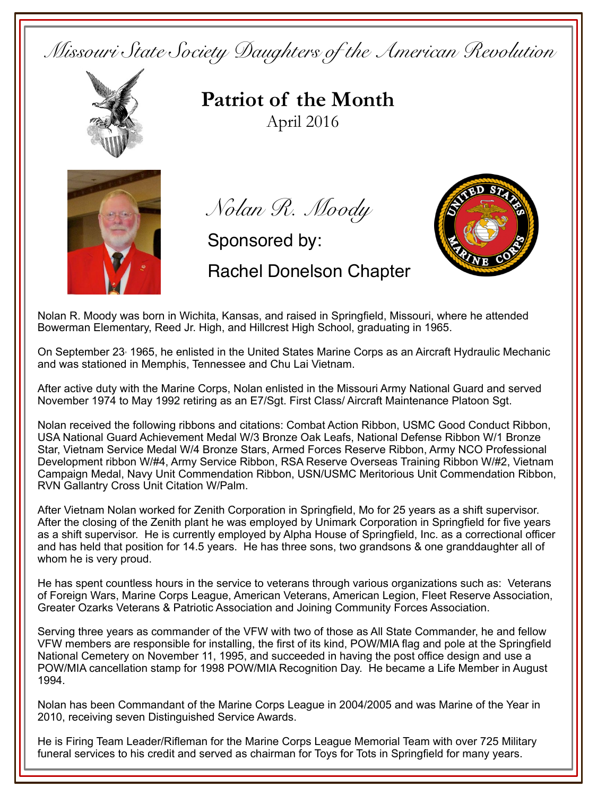*Missouri State Society Daughters of the American Revolution* 



**Patriot of the Month**April 2016



*Nolan R. Moody*

Sponsored by:

Rachel Donelson Chapter



Nolan R. Moody was born in Wichita, Kansas, and raised in Springfield, Missouri, where he attended Bowerman Elementary, Reed Jr. High, and Hillcrest High School, graduating in 1965.

On September 23<sup>,</sup> 1965, he enlisted in the United States Marine Corps as an Aircraft Hydraulic Mechanic and was stationed in Memphis, Tennessee and Chu Lai Vietnam.

After active duty with the Marine Corps, Nolan enlisted in the Missouri Army National Guard and served November 1974 to May 1992 retiring as an E7/Sgt. First Class/ Aircraft Maintenance Platoon Sgt.

Nolan received the following ribbons and citations: Combat Action Ribbon, USMC Good Conduct Ribbon, USA National Guard Achievement Medal W/3 Bronze Oak Leafs, National Defense Ribbon W/1 Bronze Star, Vietnam Service Medal W/4 Bronze Stars, Armed Forces Reserve Ribbon, Army NCO Professional Development ribbon W/#4, Army Service Ribbon, RSA Reserve Overseas Training Ribbon W/#2, Vietnam Campaign Medal, Navy Unit Commendation Ribbon, USN/USMC Meritorious Unit Commendation Ribbon, RVN Gallantry Cross Unit Citation W/Palm.

After Vietnam Nolan worked for Zenith Corporation in Springfield, Mo for 25 years as a shift supervisor. After the closing of the Zenith plant he was employed by Unimark Corporation in Springfield for five years as a shift supervisor. He is currently employed by Alpha House of Springfield, Inc. as a correctional officer and has held that position for 14.5 years. He has three sons, two grandsons & one granddaughter all of whom he is very proud.

He has spent countless hours in the service to veterans through various organizations such as: Veterans of Foreign Wars, Marine Corps League, American Veterans, American Legion, Fleet Reserve Association, Greater Ozarks Veterans & Patriotic Association and Joining Community Forces Association.

Serving three years as commander of the VFW with two of those as All State Commander, he and fellow VFW members are responsible for installing, the first of its kind, POW/MIA flag and pole at the Springfield National Cemetery on November 11, 1995, and succeeded in having the post office design and use a POW/MIA cancellation stamp for 1998 POW/MIA Recognition Day. He became a Life Member in August 1994.

Nolan has been Commandant of the Marine Corps League in 2004/2005 and was Marine of the Year in 2010, receiving seven Distinguished Service Awards.

He is Firing Team Leader/Rifleman for the Marine Corps League Memorial Team with over 725 Military funeral services to his credit and served as chairman for Toys for Tots in Springfield for many years.